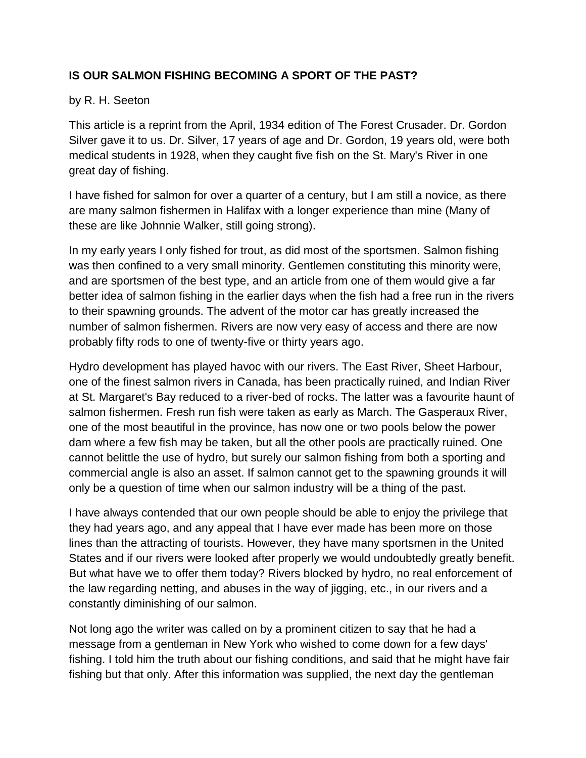## **IS OUR SALMON FISHING BECOMING A SPORT OF THE PAST?**

## by R. H. Seeton

This article is a reprint from the April, 1934 edition of The Forest Crusader. Dr. Gordon Silver gave it to us. Dr. Silver, 17 years of age and Dr. Gordon, 19 years old, were both medical students in 1928, when they caught five fish on the St. Mary's River in one great day of fishing.

I have fished for salmon for over a quarter of a century, but I am still a novice, as there are many salmon fishermen in Halifax with a longer experience than mine (Many of these are like Johnnie Walker, still going strong).

In my early years I only fished for trout, as did most of the sportsmen. Salmon fishing was then confined to a very small minority. Gentlemen constituting this minority were, and are sportsmen of the best type, and an article from one of them would give a far better idea of salmon fishing in the earlier days when the fish had a free run in the rivers to their spawning grounds. The advent of the motor car has greatly increased the number of salmon fishermen. Rivers are now very easy of access and there are now probably fifty rods to one of twenty-five or thirty years ago.

Hydro development has played havoc with our rivers. The East River, Sheet Harbour, one of the finest salmon rivers in Canada, has been practically ruined, and Indian River at St. Margaret's Bay reduced to a river-bed of rocks. The latter was a favourite haunt of salmon fishermen. Fresh run fish were taken as early as March. The Gasperaux River, one of the most beautiful in the province, has now one or two pools below the power dam where a few fish may be taken, but all the other pools are practically ruined. One cannot belittle the use of hydro, but surely our salmon fishing from both a sporting and commercial angle is also an asset. If salmon cannot get to the spawning grounds it will only be a question of time when our salmon industry will be a thing of the past.

I have always contended that our own people should be able to enjoy the privilege that they had years ago, and any appeal that I have ever made has been more on those lines than the attracting of tourists. However, they have many sportsmen in the United States and if our rivers were looked after properly we would undoubtedly greatly benefit. But what have we to offer them today? Rivers blocked by hydro, no real enforcement of the law regarding netting, and abuses in the way of jigging, etc., in our rivers and a constantly diminishing of our salmon.

Not long ago the writer was called on by a prominent citizen to say that he had a message from a gentleman in New York who wished to come down for a few days' fishing. I told him the truth about our fishing conditions, and said that he might have fair fishing but that only. After this information was supplied, the next day the gentleman